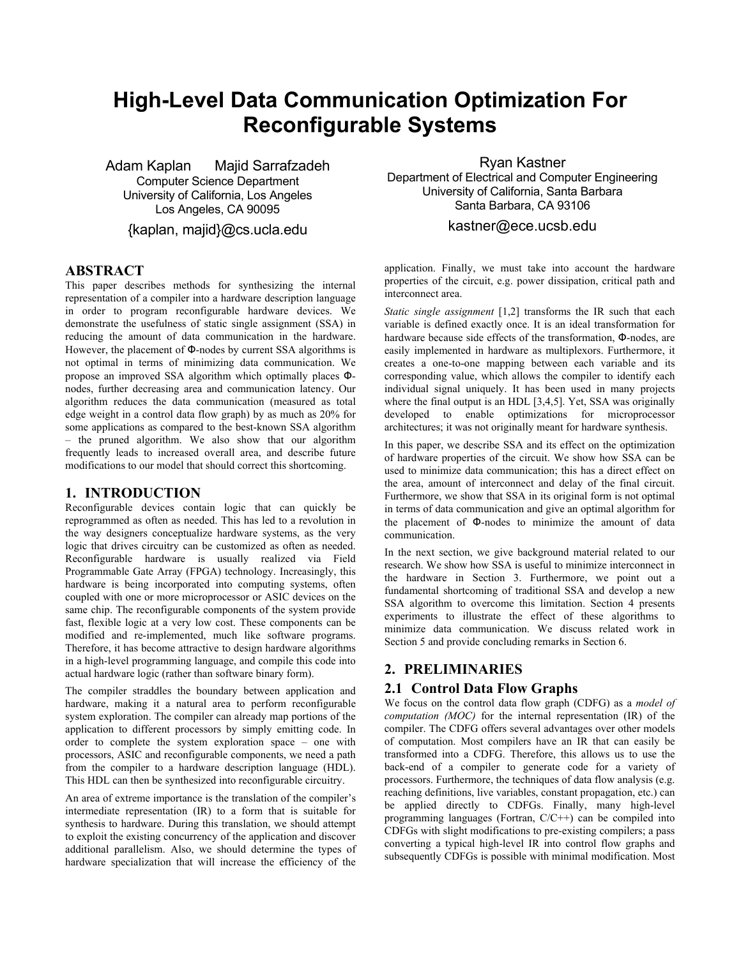# **High-Level Data Communication Optimization For Reconfigurable Systems**

Adam Kaplan Majid Sarrafzadeh Computer Science Department University of California, Los Angeles Los Angeles, CA 90095

{kaplan, majid}@cs.ucla.edu

### **ABSTRACT**

This paper describes methods for synthesizing the internal representation of a compiler into a hardware description language in order to program reconfigurable hardware devices. We demonstrate the usefulness of static single assignment (SSA) in reducing the amount of data communication in the hardware. However, the placement of Φ-nodes by current SSA algorithms is not optimal in terms of minimizing data communication. We propose an improved SSA algorithm which optimally places Φnodes, further decreasing area and communication latency. Our algorithm reduces the data communication (measured as total edge weight in a control data flow graph) by as much as 20% for some applications as compared to the best-known SSA algorithm – the pruned algorithm. We also show that our algorithm frequently leads to increased overall area, and describe future modifications to our model that should correct this shortcoming.

### **1. INTRODUCTION**

Reconfigurable devices contain logic that can quickly be reprogrammed as often as needed. This has led to a revolution in the way designers conceptualize hardware systems, as the very logic that drives circuitry can be customized as often as needed. Reconfigurable hardware is usually realized via Field Programmable Gate Array (FPGA) technology. Increasingly, this hardware is being incorporated into computing systems, often coupled with one or more microprocessor or ASIC devices on the same chip. The reconfigurable components of the system provide fast, flexible logic at a very low cost. These components can be modified and re-implemented, much like software programs. Therefore, it has become attractive to design hardware algorithms in a high-level programming language, and compile this code into actual hardware logic (rather than software binary form).

The compiler straddles the boundary between application and hardware, making it a natural area to perform reconfigurable system exploration. The compiler can already map portions of the application to different processors by simply emitting code. In order to complete the system exploration space – one with processors, ASIC and reconfigurable components, we need a path from the compiler to a hardware description language (HDL). This HDL can then be synthesized into reconfigurable circuitry.

An area of extreme importance is the translation of the compiler's intermediate representation (IR) to a form that is suitable for synthesis to hardware. During this translation, we should attempt to exploit the existing concurrency of the application and discover additional parallelism. Also, we should determine the types of hardware specialization that will increase the efficiency of the Ryan Kastner

Department of Electrical and Computer Engineering University of California, Santa Barbara Santa Barbara, CA 93106

kastner@ece.ucsb.edu

application. Finally, we must take into account the hardware properties of the circuit, e.g. power dissipation, critical path and interconnect area.

*Static single assignment* [1,2] transforms the IR such that each variable is defined exactly once. It is an ideal transformation for hardware because side effects of the transformation, Φ-nodes, are easily implemented in hardware as multiplexors. Furthermore, it creates a one-to-one mapping between each variable and its corresponding value, which allows the compiler to identify each individual signal uniquely. It has been used in many projects where the final output is an HDL [3,4,5]. Yet, SSA was originally developed to enable optimizations for microprocessor architectures; it was not originally meant for hardware synthesis.

In this paper, we describe SSA and its effect on the optimization of hardware properties of the circuit. We show how SSA can be used to minimize data communication; this has a direct effect on the area, amount of interconnect and delay of the final circuit. Furthermore, we show that SSA in its original form is not optimal in terms of data communication and give an optimal algorithm for the placement of Φ-nodes to minimize the amount of data communication.

In the next section, we give background material related to our research. We show how SSA is useful to minimize interconnect in the hardware in Section 3. Furthermore, we point out a fundamental shortcoming of traditional SSA and develop a new SSA algorithm to overcome this limitation. Section 4 presents experiments to illustrate the effect of these algorithms to minimize data communication. We discuss related work in Section 5 and provide concluding remarks in Section 6.

#### **2. PRELIMINARIES**

### **2.1 Control Data Flow Graphs**

We focus on the control data flow graph (CDFG) as a *model of computation (MOC)* for the internal representation (IR) of the compiler. The CDFG offers several advantages over other models of computation. Most compilers have an IR that can easily be transformed into a CDFG. Therefore, this allows us to use the back-end of a compiler to generate code for a variety of processors. Furthermore, the techniques of data flow analysis (e.g. reaching definitions, live variables, constant propagation, etc.) can be applied directly to CDFGs. Finally, many high-level programming languages (Fortran, C/C++) can be compiled into CDFGs with slight modifications to pre-existing compilers; a pass converting a typical high-level IR into control flow graphs and subsequently CDFGs is possible with minimal modification. Most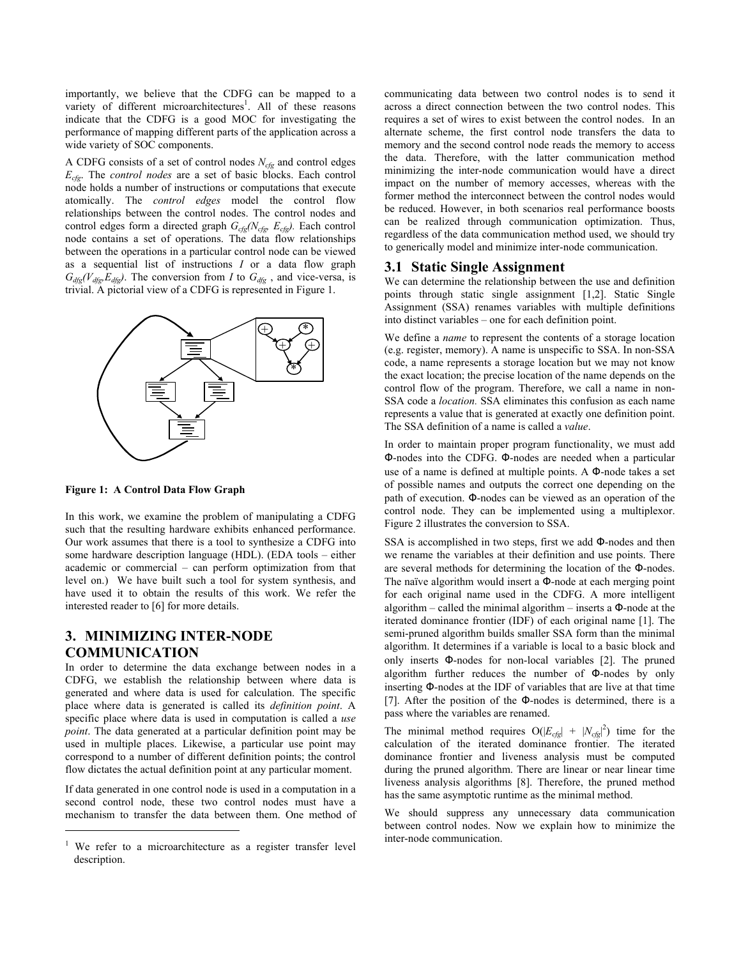importantly, we believe that the CDFG can be mapped to a variety of different microarchitectures<sup>1</sup>. All of these reasons indicate that the CDFG is a good MOC for investigating the performance of mapping different parts of the application across a wide variety of SOC components.

A CDFG consists of a set of control nodes  $N_{cfg}$  and control edges *Ecfg*. The *control nodes* are a set of basic blocks. Each control node holds a number of instructions or computations that execute atomically. The *control edges* model the control flow relationships between the control nodes. The control nodes and control edges form a directed graph  $G_{cfg}(N_{cfg}, E_{cfg})$ . Each control node contains a set of operations. The data flow relationships between the operations in a particular control node can be viewed as a sequential list of instructions *I* or a data flow graph  $G_{dfg}(V_{dfg}, E_{dfg})$ . The conversion from *I* to  $G_{dfg}$ , and vice-versa, is trivial. A pictorial view of a CDFG is represented in Figure 1.



**Figure 1: A Control Data Flow Graph** 

In this work, we examine the problem of manipulating a CDFG such that the resulting hardware exhibits enhanced performance. Our work assumes that there is a tool to synthesize a CDFG into some hardware description language (HDL). (EDA tools – either academic or commercial – can perform optimization from that level on.) We have built such a tool for system synthesis, and have used it to obtain the results of this work. We refer the interested reader to [6] for more details.

## **3. MINIMIZING INTER-NODE COMMUNICATION**

1

In order to determine the data exchange between nodes in a CDFG, we establish the relationship between where data is generated and where data is used for calculation. The specific place where data is generated is called its *definition point*. A specific place where data is used in computation is called a *use point*. The data generated at a particular definition point may be used in multiple places. Likewise, a particular use point may correspond to a number of different definition points; the control flow dictates the actual definition point at any particular moment.

If data generated in one control node is used in a computation in a second control node, these two control nodes must have a mechanism to transfer the data between them. One method of communicating data between two control nodes is to send it across a direct connection between the two control nodes. This requires a set of wires to exist between the control nodes. In an alternate scheme, the first control node transfers the data to memory and the second control node reads the memory to access the data. Therefore, with the latter communication method minimizing the inter-node communication would have a direct impact on the number of memory accesses, whereas with the former method the interconnect between the control nodes would be reduced. However, in both scenarios real performance boosts can be realized through communication optimization. Thus, regardless of the data communication method used, we should try to generically model and minimize inter-node communication.

#### **3.1 Static Single Assignment**

We can determine the relationship between the use and definition points through static single assignment [1,2]. Static Single Assignment (SSA) renames variables with multiple definitions into distinct variables – one for each definition point.

We define a *name* to represent the contents of a storage location (e.g. register, memory). A name is unspecific to SSA. In non-SSA code, a name represents a storage location but we may not know the exact location; the precise location of the name depends on the control flow of the program. Therefore, we call a name in non-SSA code a *location.* SSA eliminates this confusion as each name represents a value that is generated at exactly one definition point. The SSA definition of a name is called a *value*.

In order to maintain proper program functionality, we must add Φ-nodes into the CDFG. Φ-nodes are needed when a particular use of a name is defined at multiple points. A Φ-node takes a set of possible names and outputs the correct one depending on the path of execution. Φ-nodes can be viewed as an operation of the control node. They can be implemented using a multiplexor. Figure 2 illustrates the conversion to SSA.

SSA is accomplished in two steps, first we add Φ-nodes and then we rename the variables at their definition and use points. There are several methods for determining the location of the Φ-nodes. The naïve algorithm would insert a Φ-node at each merging point for each original name used in the CDFG. A more intelligent algorithm – called the minimal algorithm – inserts a  $\Phi$ -node at the iterated dominance frontier (IDF) of each original name [1]. The semi-pruned algorithm builds smaller SSA form than the minimal algorithm. It determines if a variable is local to a basic block and only inserts Φ-nodes for non-local variables [2]. The pruned algorithm further reduces the number of Φ-nodes by only inserting Φ-nodes at the IDF of variables that are live at that time [7]. After the position of the Φ-nodes is determined, there is a pass where the variables are renamed.

The minimal method requires  $O(|E_{cfg}| + |N_{cfg}|^2)$  time for the calculation of the iterated dominance frontier. The iterated dominance frontier and liveness analysis must be computed during the pruned algorithm. There are linear or near linear time liveness analysis algorithms [8]. Therefore, the pruned method has the same asymptotic runtime as the minimal method.

We should suppress any unnecessary data communication between control nodes. Now we explain how to minimize the inter-node communication.

<sup>1</sup> We refer to a microarchitecture as a register transfer level description.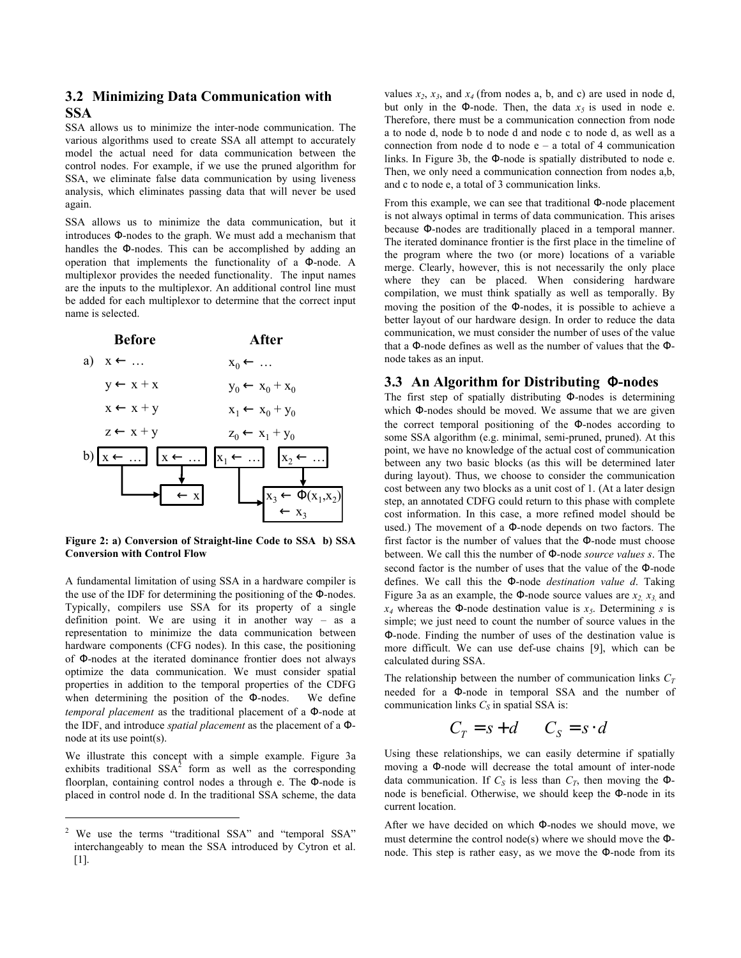## **3.2 Minimizing Data Communication with SSA**

SSA allows us to minimize the inter-node communication. The various algorithms used to create SSA all attempt to accurately model the actual need for data communication between the control nodes. For example, if we use the pruned algorithm for SSA, we eliminate false data communication by using liveness analysis, which eliminates passing data that will never be used again.

SSA allows us to minimize the data communication, but it introduces Φ-nodes to the graph. We must add a mechanism that handles the Φ-nodes. This can be accomplished by adding an operation that implements the functionality of a Φ-node. A multiplexor provides the needed functionality. The input names are the inputs to the multiplexor. An additional control line must be added for each multiplexor to determine that the correct input name is selected.



**Figure 2: a) Conversion of Straight-line Code to SSA b) SSA Conversion with Control Flow** 

A fundamental limitation of using SSA in a hardware compiler is the use of the IDF for determining the positioning of the Φ-nodes. Typically, compilers use SSA for its property of a single definition point. We are using it in another way – as a representation to minimize the data communication between hardware components (CFG nodes). In this case, the positioning of Φ-nodes at the iterated dominance frontier does not always optimize the data communication. We must consider spatial properties in addition to the temporal properties of the CDFG when determining the position of the Φ-nodes. We define *temporal placement* as the traditional placement of a Φ-node at the IDF, and introduce *spatial placement* as the placement of a Φnode at its use point(s).

We illustrate this concept with a simple example. Figure 3a exhibits traditional  $SSA^2$  form as well as the corresponding floorplan, containing control nodes a through e. The Φ-node is placed in control node d. In the traditional SSA scheme, the data

1

values  $x_2$ ,  $x_3$ , and  $x_4$  (from nodes a, b, and c) are used in node d, but only in the  $\Phi$ -node. Then, the data  $x_5$  is used in node e. Therefore, there must be a communication connection from node a to node d, node b to node d and node c to node d, as well as a connection from node d to node  $e - a$  total of 4 communication links. In Figure 3b, the Φ-node is spatially distributed to node e. Then, we only need a communication connection from nodes a,b, and c to node e, a total of 3 communication links.

From this example, we can see that traditional Φ-node placement is not always optimal in terms of data communication. This arises because Φ-nodes are traditionally placed in a temporal manner. The iterated dominance frontier is the first place in the timeline of the program where the two (or more) locations of a variable merge. Clearly, however, this is not necessarily the only place where they can be placed. When considering hardware compilation, we must think spatially as well as temporally. By moving the position of the Φ-nodes, it is possible to achieve a better layout of our hardware design. In order to reduce the data communication, we must consider the number of uses of the value that a Φ-node defines as well as the number of values that the Φnode takes as an input.

#### **3.3 An Algorithm for Distributing** Φ**-nodes**

The first step of spatially distributing Φ-nodes is determining which Φ-nodes should be moved. We assume that we are given the correct temporal positioning of the Φ-nodes according to some SSA algorithm (e.g. minimal, semi-pruned, pruned). At this point, we have no knowledge of the actual cost of communication between any two basic blocks (as this will be determined later during layout). Thus, we choose to consider the communication cost between any two blocks as a unit cost of 1. (At a later design step, an annotated CDFG could return to this phase with complete cost information. In this case, a more refined model should be used.) The movement of a Φ-node depends on two factors. The first factor is the number of values that the Φ-node must choose between. We call this the number of Φ-node *source values s*. The second factor is the number of uses that the value of the Φ-node defines. We call this the Φ-node *destination value d*. Taking Figure 3a as an example, the  $\Phi$ -node source values are  $x_2$ ,  $x_3$  and  $x_4$  whereas the Φ-node destination value is  $x_5$ . Determining *s* is simple; we just need to count the number of source values in the Φ-node. Finding the number of uses of the destination value is more difficult. We can use def-use chains [9], which can be calculated during SSA.

The relationship between the number of communication links  $C_T$ needed for a Φ-node in temporal SSA and the number of communication links  $C_S$  in spatial SSA is:

$$
C_T = s + d \qquad C_S = s \cdot d
$$

Using these relationships, we can easily determine if spatially moving a Φ-node will decrease the total amount of inter-node data communication. If  $C_S$  is less than  $C_T$ , then moving the  $\Phi$ node is beneficial. Otherwise, we should keep the Φ-node in its current location.

After we have decided on which Φ-nodes we should move, we must determine the control node(s) where we should move the Φnode. This step is rather easy, as we move the Φ-node from its

<sup>&</sup>lt;sup>2</sup> We use the terms "traditional SSA" and "temporal SSA" interchangeably to mean the SSA introduced by Cytron et al. [1].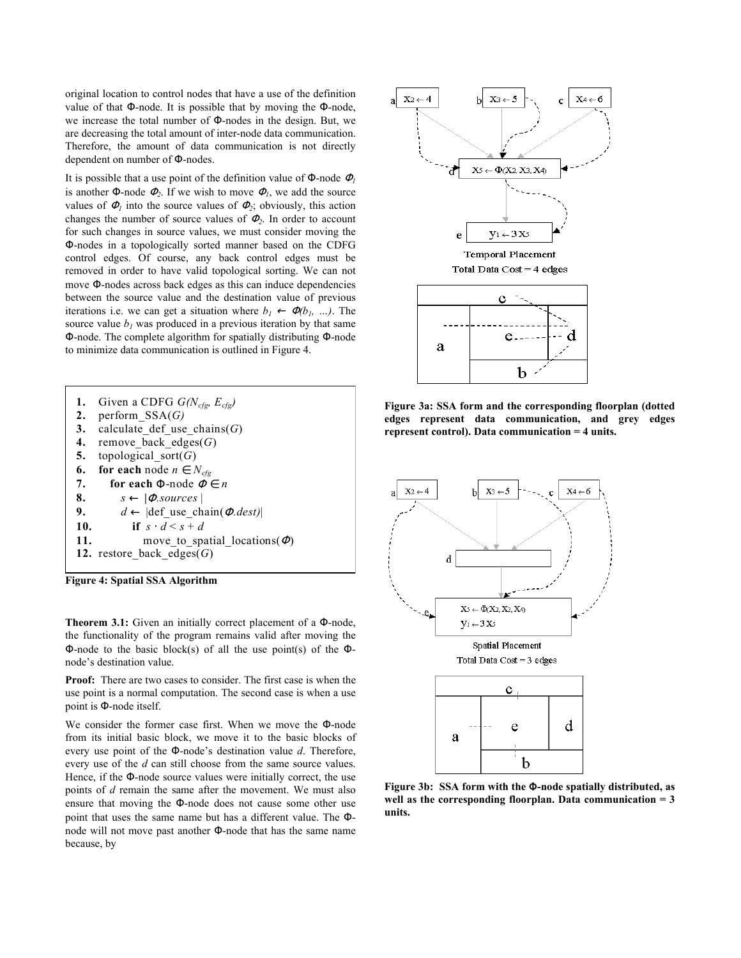original location to control nodes that have a use of the definition value of that Φ-node. It is possible that by moving the Φ-node, we increase the total number of Φ-nodes in the design. But, we are decreasing the total amount of inter-node data communication. Therefore, the amount of data communication is not directly dependent on number of Φ-nodes.

It is possible that a use point of the definition value of  $\Phi$ -node  $\Phi$ <sup>*l*</sup> is another  $\Phi$ -node  $\Phi_2$ . If we wish to move  $\Phi_1$ , we add the source values of  $\Phi$ <sup>*1*</sup> into the source values of  $\Phi$ <sub>2</sub>; obviously, this action changes the number of source values of  $\Phi_2$ . In order to account for such changes in source values, we must consider moving the Φ-nodes in a topologically sorted manner based on the CDFG control edges. Of course, any back control edges must be removed in order to have valid topological sorting. We can not move Φ-nodes across back edges as this can induce dependencies between the source value and the destination value of previous iterations i.e. we can get a situation where  $b_1 \leftarrow \Phi(b_1, \ldots)$ . The source value  $b<sub>l</sub>$  was produced in a previous iteration by that same Φ-node. The complete algorithm for spatially distributing Φ-node to minimize data communication is outlined in Figure 4.

| 1.  | Given a CDFG $G(N_{cfe}, E_{cfe})$<br>2. perform $SSA(G)$ |
|-----|-----------------------------------------------------------|
|     | 3. calculate def use chains $(G)$                         |
| 4.  | remove back edges $(G)$                                   |
| 5.  | topological sort $(G)$                                    |
| 6.  | for each node $n \in N_{cfg}$                             |
| 7.  | for each $\Phi$ -node $\Phi \in \mathbb{R}$               |
| 8.  | $s \leftarrow  \Phi_{\text{.} \text{sources}} $           |
| 9.  | $d \leftarrow  def use_{chain}(\Phi_{dest}) $             |
| 10. | if $s \cdot d \leq s + d$                                 |
| 11. | move to spatial locations $(\Phi)$                        |
|     | 12. restore back edges $(G)$                              |

**Figure 4: Spatial SSA Algorithm** 

**Theorem 3.1:** Given an initially correct placement of a Φ-node, the functionality of the program remains valid after moving the Φ-node to the basic block(s) of all the use point(s) of the Φnode's destination value.

**Proof:** There are two cases to consider. The first case is when the use point is a normal computation. The second case is when a use point is Φ-node itself.

We consider the former case first. When we move the Φ-node from its initial basic block, we move it to the basic blocks of every use point of the Φ-node's destination value *d*. Therefore, every use of the *d* can still choose from the same source values. Hence, if the Φ-node source values were initially correct, the use points of *d* remain the same after the movement. We must also ensure that moving the Φ-node does not cause some other use point that uses the same name but has a different value. The Φnode will not move past another Φ-node that has the same name because, by



**Figure 3a: SSA form and the corresponding floorplan (dotted edges represent data communication, and grey edges represent control). Data communication = 4 units.** 



**Figure 3b: SSA form with the** Φ**-node spatially distributed, as well as the corresponding floorplan. Data communication = 3 units.**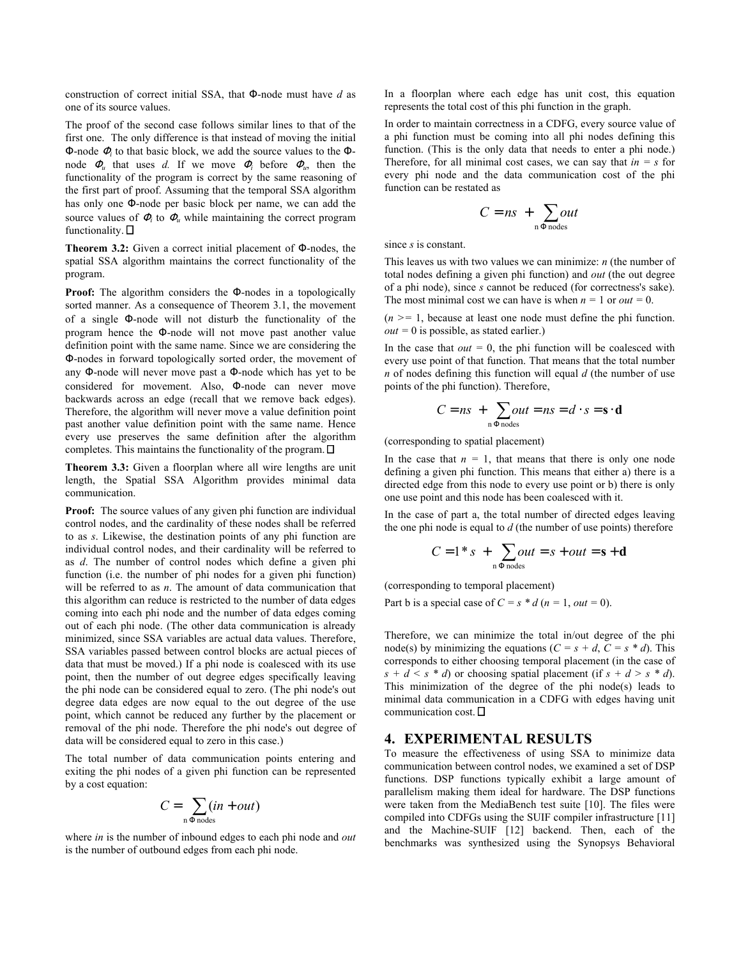construction of correct initial SSA, that Φ-node must have *d* as one of its source values.

The proof of the second case follows similar lines to that of the first one. The only difference is that instead of moving the initial Φ-node <sup>Φ</sup>*i* to that basic block, we add the source values to the Φnode  $\Phi_u$  that uses *d*. If we move  $\Phi_i$  before  $\Phi_u$ , then the functionality of the program is correct by the same reasoning of the first part of proof. Assuming that the temporal SSA algorithm has only one Φ-node per basic block per name, we can add the source values of  $\Phi_i$  to  $\Phi_i$  while maintaining the correct program functionality.  $\square$ 

**Theorem 3.2:** Given a correct initial placement of Φ-nodes, the spatial SSA algorithm maintains the correct functionality of the program.

**Proof:** The algorithm considers the Φ-nodes in a topologically sorted manner. As a consequence of Theorem 3.1, the movement of a single Φ-node will not disturb the functionality of the program hence the Φ-node will not move past another value definition point with the same name. Since we are considering the Φ-nodes in forward topologically sorted order, the movement of any Φ-node will never move past a Φ-node which has yet to be considered for movement. Also, Φ-node can never move backwards across an edge (recall that we remove back edges). Therefore, the algorithm will never move a value definition point past another value definition point with the same name. Hence every use preserves the same definition after the algorithm completes. This maintains the functionality of the program.  $\Box$ 

**Theorem 3.3:** Given a floorplan where all wire lengths are unit length, the Spatial SSA Algorithm provides minimal data communication.

**Proof:** The source values of any given phi function are individual control nodes, and the cardinality of these nodes shall be referred to as *s*. Likewise, the destination points of any phi function are individual control nodes, and their cardinality will be referred to as *d*. The number of control nodes which define a given phi function (i.e. the number of phi nodes for a given phi function) will be referred to as *n*. The amount of data communication that this algorithm can reduce is restricted to the number of data edges coming into each phi node and the number of data edges coming out of each phi node. (The other data communication is already minimized, since SSA variables are actual data values. Therefore, SSA variables passed between control blocks are actual pieces of data that must be moved.) If a phi node is coalesced with its use point, then the number of out degree edges specifically leaving the phi node can be considered equal to zero. (The phi node's out degree data edges are now equal to the out degree of the use point, which cannot be reduced any further by the placement or removal of the phi node. Therefore the phi node's out degree of data will be considered equal to zero in this case.)

The total number of data communication points entering and exiting the phi nodes of a given phi function can be represented by a cost equation:

$$
C = \sum_{n \Phi \text{ nodes}} (in + out)
$$

where *in* is the number of inbound edges to each phi node and *out* is the number of outbound edges from each phi node.

In a floorplan where each edge has unit cost, this equation represents the total cost of this phi function in the graph.

In order to maintain correctness in a CDFG, every source value of a phi function must be coming into all phi nodes defining this function. (This is the only data that needs to enter a phi node.) Therefore, for all minimal cost cases, we can say that  $in = s$  for every phi node and the data communication cost of the phi function can be restated as

$$
C = ns + \sum_{n \Phi \text{ nodes}} out
$$

since *s* is constant.

This leaves us with two values we can minimize: *n* (the number of total nodes defining a given phi function) and *out* (the out degree of a phi node), since *s* cannot be reduced (for correctness's sake). The most minimal cost we can have is when  $n = 1$  or  $out = 0$ .

 $(n \geq 1)$ , because at least one node must define the phi function.  $out = 0$  is possible, as stated earlier.)

In the case that  $out = 0$ , the phi function will be coalesced with every use point of that function. That means that the total number *n* of nodes defining this function will equal *d* (the number of use points of the phi function). Therefore,

$$
C = ns + \sum_{n \text{ } \Phi \text{ nodes}} out = ns = d \cdot s = s \cdot d
$$

(corresponding to spatial placement)

In the case that  $n = 1$ , that means that there is only one node defining a given phi function. This means that either a) there is a directed edge from this node to every use point or b) there is only one use point and this node has been coalesced with it.

In the case of part a, the total number of directed edges leaving the one phi node is equal to *d* (the number of use points) therefore

$$
C = 1 * s + \sum_{n \text{ } \Phi \text{ nodes}} out = s + out = s + d
$$

(corresponding to temporal placement)

Part b is a special case of  $C = s * d (n = 1, out = 0)$ .

Therefore, we can minimize the total in/out degree of the phi node(s) by minimizing the equations  $(C = s + d, C = s * d)$ . This corresponds to either choosing temporal placement (in the case of  $s + d \leq s * d$  or choosing spatial placement (if  $s + d \geq s * d$ ). This minimization of the degree of the phi node(s) leads to minimal data communication in a CDFG with edges having unit communication cost.  $\square$ 

## **4. EXPERIMENTAL RESULTS**

To measure the effectiveness of using SSA to minimize data communication between control nodes, we examined a set of DSP functions. DSP functions typically exhibit a large amount of parallelism making them ideal for hardware. The DSP functions were taken from the MediaBench test suite [10]. The files were compiled into CDFGs using the SUIF compiler infrastructure [11] and the Machine-SUIF [12] backend. Then, each of the benchmarks was synthesized using the Synopsys Behavioral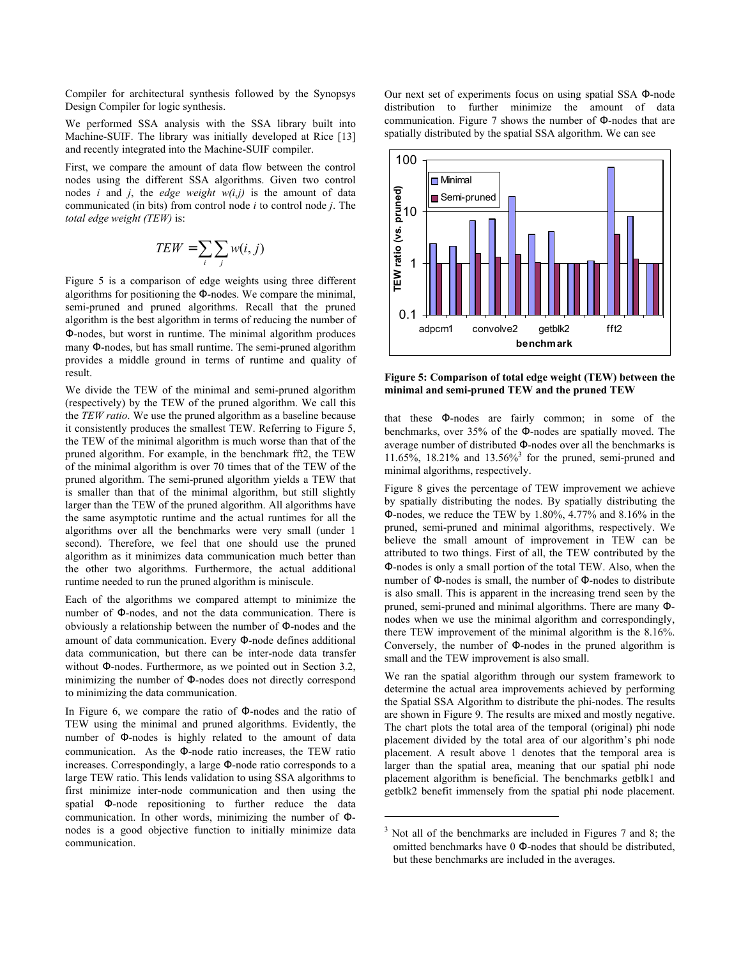Compiler for architectural synthesis followed by the Synopsys Design Compiler for logic synthesis.

We performed SSA analysis with the SSA library built into Machine-SUIF. The library was initially developed at Rice [13] and recently integrated into the Machine-SUIF compiler.

First, we compare the amount of data flow between the control nodes using the different SSA algorithms. Given two control nodes *i* and *j*, the *edge weight w(i,j)* is the amount of data communicated (in bits) from control node *i* to control node *j*. The *total edge weight (TEW)* is:

$$
TEW = \sum_{i} \sum_{j} w(i, j)
$$

Figure 5 is a comparison of edge weights using three different algorithms for positioning the Φ-nodes. We compare the minimal, semi-pruned and pruned algorithms. Recall that the pruned algorithm is the best algorithm in terms of reducing the number of Φ-nodes, but worst in runtime. The minimal algorithm produces many Φ-nodes, but has small runtime. The semi-pruned algorithm provides a middle ground in terms of runtime and quality of result.

We divide the TEW of the minimal and semi-pruned algorithm (respectively) by the TEW of the pruned algorithm. We call this the *TEW ratio*. We use the pruned algorithm as a baseline because it consistently produces the smallest TEW. Referring to Figure 5, the TEW of the minimal algorithm is much worse than that of the pruned algorithm. For example, in the benchmark fft2, the TEW of the minimal algorithm is over 70 times that of the TEW of the pruned algorithm. The semi-pruned algorithm yields a TEW that is smaller than that of the minimal algorithm, but still slightly larger than the TEW of the pruned algorithm. All algorithms have the same asymptotic runtime and the actual runtimes for all the algorithms over all the benchmarks were very small (under 1 second). Therefore, we feel that one should use the pruned algorithm as it minimizes data communication much better than the other two algorithms. Furthermore, the actual additional runtime needed to run the pruned algorithm is miniscule.

Each of the algorithms we compared attempt to minimize the number of Φ-nodes, and not the data communication. There is obviously a relationship between the number of Φ-nodes and the amount of data communication. Every Φ-node defines additional data communication, but there can be inter-node data transfer without Φ-nodes. Furthermore, as we pointed out in Section 3.2, minimizing the number of Φ-nodes does not directly correspond to minimizing the data communication.

In Figure 6, we compare the ratio of Φ-nodes and the ratio of TEW using the minimal and pruned algorithms. Evidently, the number of Φ-nodes is highly related to the amount of data communication. As the Φ-node ratio increases, the TEW ratio increases. Correspondingly, a large Φ-node ratio corresponds to a large TEW ratio. This lends validation to using SSA algorithms to first minimize inter-node communication and then using the spatial Φ-node repositioning to further reduce the data communication. In other words, minimizing the number of Φnodes is a good objective function to initially minimize data communication.

Our next set of experiments focus on using spatial SSA Φ-node distribution to further minimize the amount of data communication. Figure 7 shows the number of Φ-nodes that are spatially distributed by the spatial SSA algorithm. We can see



**Figure 5: Comparison of total edge weight (TEW) between the minimal and semi-pruned TEW and the pruned TEW** 

that these Φ-nodes are fairly common; in some of the benchmarks, over 35% of the Φ-nodes are spatially moved. The average number of distributed Φ-nodes over all the benchmarks is 11.65%, 18.21% and 13.56%<sup>3</sup> for the pruned, semi-pruned and minimal algorithms, respectively.

Figure 8 gives the percentage of TEW improvement we achieve by spatially distributing the nodes. By spatially distributing the Φ-nodes, we reduce the TEW by 1.80%, 4.77% and 8.16% in the pruned, semi-pruned and minimal algorithms, respectively. We believe the small amount of improvement in TEW can be attributed to two things. First of all, the TEW contributed by the Φ-nodes is only a small portion of the total TEW. Also, when the number of Φ-nodes is small, the number of Φ-nodes to distribute is also small. This is apparent in the increasing trend seen by the pruned, semi-pruned and minimal algorithms. There are many Φnodes when we use the minimal algorithm and correspondingly, there TEW improvement of the minimal algorithm is the 8.16%. Conversely, the number of Φ-nodes in the pruned algorithm is small and the TEW improvement is also small.

We ran the spatial algorithm through our system framework to determine the actual area improvements achieved by performing the Spatial SSA Algorithm to distribute the phi-nodes. The results are shown in Figure 9. The results are mixed and mostly negative. The chart plots the total area of the temporal (original) phi node placement divided by the total area of our algorithm's phi node placement. A result above 1 denotes that the temporal area is larger than the spatial area, meaning that our spatial phi node placement algorithm is beneficial. The benchmarks getblk1 and getblk2 benefit immensely from the spatial phi node placement.

l

<sup>&</sup>lt;sup>3</sup> Not all of the benchmarks are included in Figures 7 and 8; the omitted benchmarks have 0 Φ-nodes that should be distributed, but these benchmarks are included in the averages.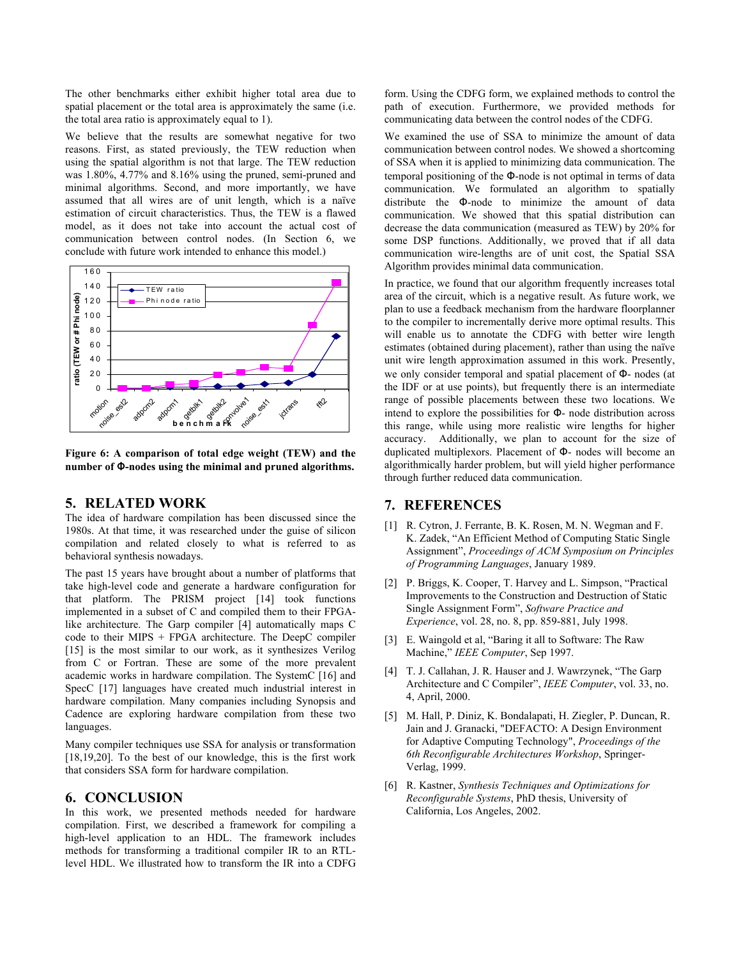The other benchmarks either exhibit higher total area due to spatial placement or the total area is approximately the same (i.e. the total area ratio is approximately equal to 1).

We believe that the results are somewhat negative for two reasons. First, as stated previously, the TEW reduction when using the spatial algorithm is not that large. The TEW reduction was 1.80%, 4.77% and 8.16% using the pruned, semi-pruned and minimal algorithms. Second, and more importantly, we have assumed that all wires are of unit length, which is a naïve estimation of circuit characteristics. Thus, the TEW is a flawed model, as it does not take into account the actual cost of communication between control nodes. (In Section 6, we conclude with future work intended to enhance this model.)



**Figure 6: A comparison of total edge weight (TEW) and the number of** Φ**-nodes using the minimal and pruned algorithms.** 

#### **5. RELATED WORK**

The idea of hardware compilation has been discussed since the 1980s. At that time, it was researched under the guise of silicon compilation and related closely to what is referred to as behavioral synthesis nowadays.

The past 15 years have brought about a number of platforms that take high-level code and generate a hardware configuration for that platform. The PRISM project [14] took functions implemented in a subset of C and compiled them to their FPGAlike architecture. The Garp compiler [4] automatically maps C code to their MIPS + FPGA architecture. The DeepC compiler [15] is the most similar to our work, as it synthesizes Verilog from C or Fortran. These are some of the more prevalent academic works in hardware compilation. The SystemC [16] and SpecC [17] languages have created much industrial interest in hardware compilation. Many companies including Synopsis and Cadence are exploring hardware compilation from these two languages.

Many compiler techniques use SSA for analysis or transformation [18,19,20]. To the best of our knowledge, this is the first work that considers SSA form for hardware compilation.

#### **6. CONCLUSION**

In this work, we presented methods needed for hardware compilation. First, we described a framework for compiling a high-level application to an HDL. The framework includes methods for transforming a traditional compiler IR to an RTLlevel HDL. We illustrated how to transform the IR into a CDFG

form. Using the CDFG form, we explained methods to control the path of execution. Furthermore, we provided methods for communicating data between the control nodes of the CDFG.

We examined the use of SSA to minimize the amount of data communication between control nodes. We showed a shortcoming of SSA when it is applied to minimizing data communication. The temporal positioning of the Φ-node is not optimal in terms of data communication. We formulated an algorithm to spatially distribute the Φ-node to minimize the amount of data communication. We showed that this spatial distribution can decrease the data communication (measured as TEW) by 20% for some DSP functions. Additionally, we proved that if all data communication wire-lengths are of unit cost, the Spatial SSA Algorithm provides minimal data communication.

In practice, we found that our algorithm frequently increases total area of the circuit, which is a negative result. As future work, we plan to use a feedback mechanism from the hardware floorplanner to the compiler to incrementally derive more optimal results. This will enable us to annotate the CDFG with better wire length estimates (obtained during placement), rather than using the naïve unit wire length approximation assumed in this work. Presently, we only consider temporal and spatial placement of Φ- nodes (at the IDF or at use points), but frequently there is an intermediate range of possible placements between these two locations. We intend to explore the possibilities for Φ- node distribution across this range, while using more realistic wire lengths for higher accuracy. Additionally, we plan to account for the size of duplicated multiplexors. Placement of Φ- nodes will become an algorithmically harder problem, but will yield higher performance through further reduced data communication.

## **7. REFERENCES**

- [1] R. Cytron, J. Ferrante, B. K. Rosen, M. N. Wegman and F. K. Zadek, "An Efficient Method of Computing Static Single Assignment", *Proceedings of ACM Symposium on Principles of Programming Languages*, January 1989.
- [2] P. Briggs, K. Cooper, T. Harvey and L. Simpson, "Practical Improvements to the Construction and Destruction of Static Single Assignment Form", *Software Practice and Experience*, vol. 28, no. 8, pp. 859-881, July 1998.
- [3] E. Waingold et al, "Baring it all to Software: The Raw Machine," *IEEE Computer*, Sep 1997.
- [4] T. J. Callahan, J. R. Hauser and J. Wawrzynek, "The Garp" Architecture and C Compiler", *IEEE Computer*, vol. 33, no. 4, April, 2000.
- [5] M. Hall, P. Diniz, K. Bondalapati, H. Ziegler, P. Duncan, R. Jain and J. Granacki, "DEFACTO: A Design Environment for Adaptive Computing Technology", *Proceedings of the 6th Reconfigurable Architectures Workshop*, Springer-Verlag, 1999.
- [6] R. Kastner, *Synthesis Techniques and Optimizations for Reconfigurable Systems*, PhD thesis, University of California, Los Angeles, 2002.